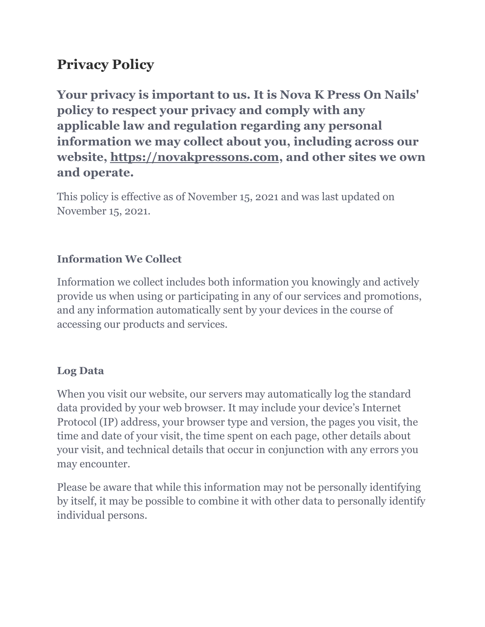# **Privacy Policy**

**Your privacy is important to us. It is Nova K Press On Nails' policy to respect your privacy and comply with any applicable law and regulation regarding any personal information we may collect about you, including across our website, https://novakpressons.com, and other sites we own and operate.**

This policy is effective as of November 15, 2021 and was last updated on November 15, 2021.

#### **Information We Collect**

Information we collect includes both information you knowingly and actively provide us when using or participating in any of our services and promotions, and any information automatically sent by your devices in the course of accessing our products and services.

#### **Log Data**

When you visit our website, our servers may automatically log the standard data provided by your web browser. It may include your device's Internet Protocol (IP) address, your browser type and version, the pages you visit, the time and date of your visit, the time spent on each page, other details about your visit, and technical details that occur in conjunction with any errors you may encounter.

Please be aware that while this information may not be personally identifying by itself, it may be possible to combine it with other data to personally identify individual persons.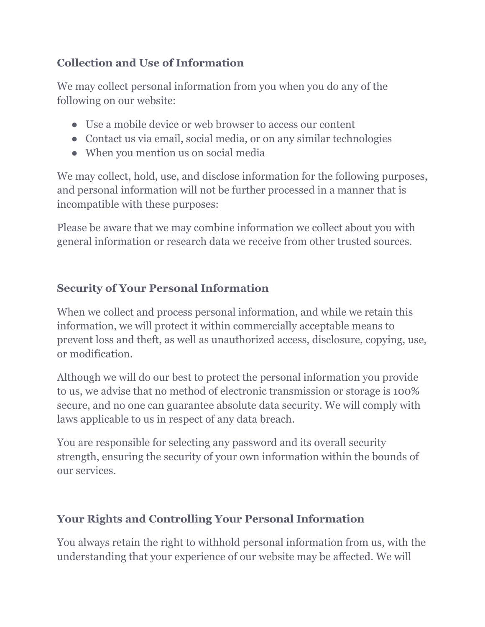### **Collection and Use of Information**

We may collect personal information from you when you do any of the following on our website:

- Use a mobile device or web browser to access our content
- Contact us via email, social media, or on any similar technologies
- When you mention us on social media

We may collect, hold, use, and disclose information for the following purposes, and personal information will not be further processed in a manner that is incompatible with these purposes:

Please be aware that we may combine information we collect about you with general information or research data we receive from other trusted sources.

## **Security of Your Personal Information**

When we collect and process personal information, and while we retain this information, we will protect it within commercially acceptable means to prevent loss and theft, as well as unauthorized access, disclosure, copying, use, or modification.

Although we will do our best to protect the personal information you provide to us, we advise that no method of electronic transmission or storage is 100% secure, and no one can guarantee absolute data security. We will comply with laws applicable to us in respect of any data breach.

You are responsible for selecting any password and its overall security strength, ensuring the security of your own information within the bounds of our services.

## **Your Rights and Controlling Your Personal Information**

You always retain the right to withhold personal information from us, with the understanding that your experience of our website may be affected. We will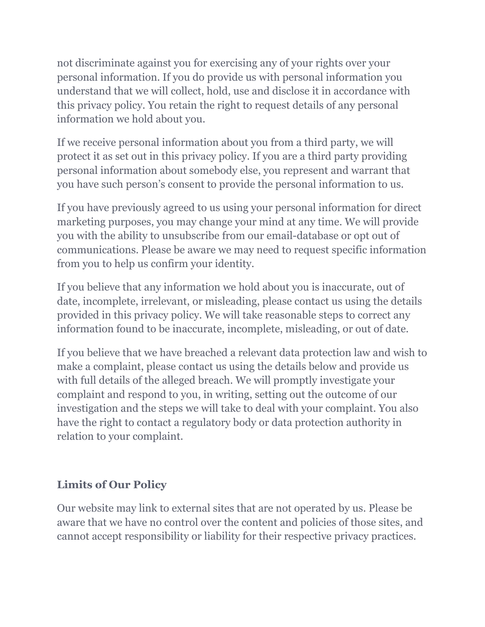not discriminate against you for exercising any of your rights over your personal information. If you do provide us with personal information you understand that we will collect, hold, use and disclose it in accordance with this privacy policy. You retain the right to request details of any personal information we hold about you.

If we receive personal information about you from a third party, we will protect it as set out in this privacy policy. If you are a third party providing personal information about somebody else, you represent and warrant that you have such person's consent to provide the personal information to us.

If you have previously agreed to us using your personal information for direct marketing purposes, you may change your mind at any time. We will provide you with the ability to unsubscribe from our email-database or opt out of communications. Please be aware we may need to request specific information from you to help us confirm your identity.

If you believe that any information we hold about you is inaccurate, out of date, incomplete, irrelevant, or misleading, please contact us using the details provided in this privacy policy. We will take reasonable steps to correct any information found to be inaccurate, incomplete, misleading, or out of date.

If you believe that we have breached a relevant data protection law and wish to make a complaint, please contact us using the details below and provide us with full details of the alleged breach. We will promptly investigate your complaint and respond to you, in writing, setting out the outcome of our investigation and the steps we will take to deal with your complaint. You also have the right to contact a regulatory body or data protection authority in relation to your complaint.

## **Limits of Our Policy**

Our website may link to external sites that are not operated by us. Please be aware that we have no control over the content and policies of those sites, and cannot accept responsibility or liability for their respective privacy practices.